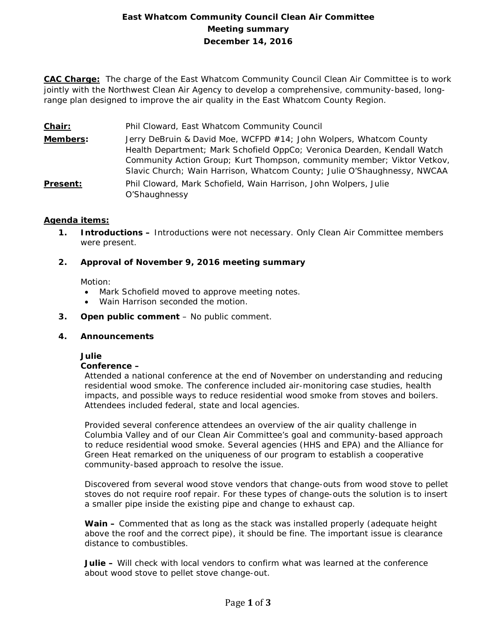# **East Whatcom Community Council Clean Air Committee Meeting summary December 14, 2016**

**CAC Charge:** The charge of the East Whatcom Community Council Clean Air Committee is to work jointly with the Northwest Clean Air Agency to develop a comprehensive, community-based, longrange plan designed to improve the air quality in the East Whatcom County Region.

- **Chair:** Phil Cloward, East Whatcom Community Council
- **Members:** Jerry DeBruin & David Moe, WCFPD #14; John Wolpers, Whatcom County Health Department; Mark Schofield OppCo; Veronica Dearden, Kendall Watch Community Action Group; Kurt Thompson, community member; Viktor Vetkov, Slavic Church; Wain Harrison, Whatcom County; Julie O'Shaughnessy, NWCAA
- **Present:** Phil Cloward, Mark Schofield, Wain Harrison, John Wolpers, Julie O'Shaughnessy

## **Agenda items:**

**1. Introductions –** Introductions were not necessary. Only Clean Air Committee members were present.

## **2. Approval of November 9, 2016 meeting summary**

Motion:

- Mark Schofield moved to approve meeting notes.
- Wain Harrison seconded the motion.
- **3. Open public comment**  No public comment.

#### **4. Announcements**

#### **Julie**

#### **Conference –**

Attended a national conference at the end of November on understanding and reducing residential wood smoke. The conference included air-monitoring case studies, health impacts, and possible ways to reduce residential wood smoke from stoves and boilers. Attendees included federal, state and local agencies.

Provided several conference attendees an overview of the air quality challenge in Columbia Valley and of our Clean Air Committee's goal and community-based approach to reduce residential wood smoke. Several agencies (HHS and EPA) and the Alliance for Green Heat remarked on the uniqueness of our program to establish a cooperative community-based approach to resolve the issue.

Discovered from several wood stove vendors that change-outs from wood stove to pellet stoves do not require roof repair. For these types of change-outs the solution is to insert a smaller pipe inside the existing pipe and change to exhaust cap.

**Wain –** Commented that as long as the stack was installed properly (adequate height above the roof and the correct pipe), it should be fine. The important issue is clearance distance to combustibles.

**Julie –** Will check with local vendors to confirm what was learned at the conference about wood stove to pellet stove change-out.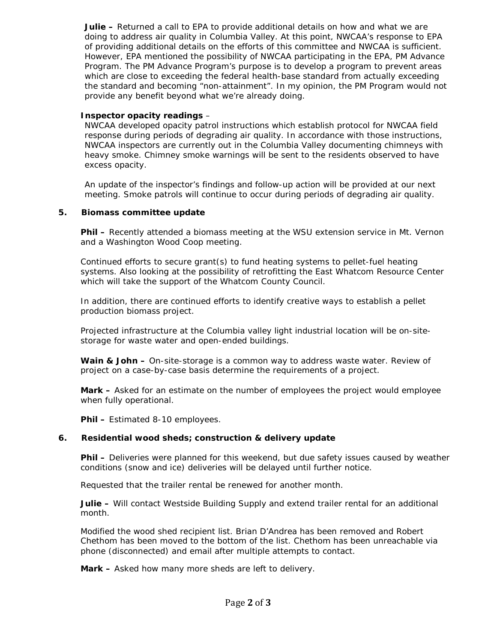**Julie –** Returned a call to EPA to provide additional details on how and what we are doing to address air quality in Columbia Valley. At this point, NWCAA's response to EPA of providing additional details on the efforts of this committee and NWCAA is sufficient. However, EPA mentioned the possibility of NWCAA participating in the EPA, PM Advance Program. The PM Advance Program's purpose is to develop a program to prevent areas which are close to exceeding the federal health-base standard from actually exceeding the standard and becoming "non-attainment". In my opinion, the PM Program would not provide any benefit beyond what we're already doing.

### **Inspector opacity readings** –

NWCAA developed opacity patrol instructions which establish protocol for NWCAA field response during periods of degrading air quality. In accordance with those instructions, NWCAA inspectors are currently out in the Columbia Valley documenting chimneys with heavy smoke. Chimney smoke warnings will be sent to the residents observed to have excess opacity.

An update of the inspector's findings and follow-up action will be provided at our next meeting. Smoke patrols will continue to occur during periods of degrading air quality.

## **5. Biomass committee update**

**Phil –** Recently attended a biomass meeting at the WSU extension service in Mt. Vernon and a Washington Wood Coop meeting.

Continued efforts to secure grant(s) to fund heating systems to pellet-fuel heating systems. Also looking at the possibility of retrofitting the East Whatcom Resource Center which will take the support of the Whatcom County Council.

In addition, there are continued efforts to identify creative ways to establish a pellet production biomass project.

Projected infrastructure at the Columbia valley light industrial location will be on-sitestorage for waste water and open-ended buildings.

**Wain & John –** On-site-storage is a common way to address waste water. Review of project on a case-by-case basis determine the requirements of a project.

**Mark –** Asked for an estimate on the number of employees the project would employee when fully operational.

**Phil –** Estimated 8-10 employees.

#### **6. Residential wood sheds; construction & delivery update**

**Phil –** Deliveries were planned for this weekend, but due safety issues caused by weather conditions (snow and ice) deliveries will be delayed until further notice.

Requested that the trailer rental be renewed for another month.

**Julie –** Will contact Westside Building Supply and extend trailer rental for an additional month.

Modified the wood shed recipient list. Brian D'Andrea has been removed and Robert Chethom has been moved to the bottom of the list. Chethom has been unreachable via phone (disconnected) and email after multiple attempts to contact.

**Mark –** Asked how many more sheds are left to delivery.